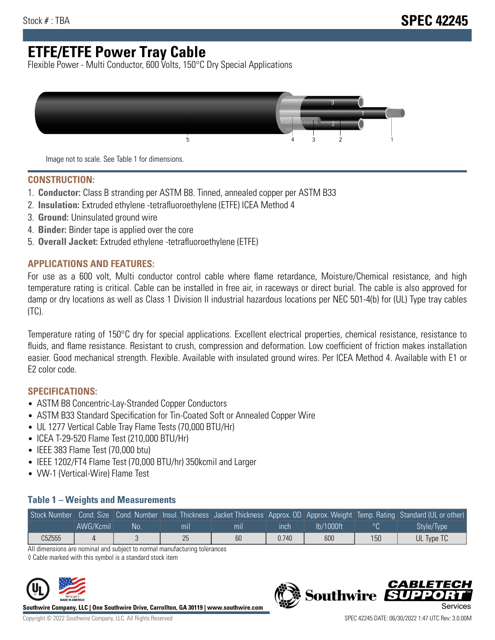# **ETFE/ETFE Power Tray Cable**

Flexible Power - Multi Conductor, 600 Volts, 150°C Dry Special Applications



Image not to scale. See Table 1 for dimensions.

#### **CONSTRUCTION:**

- 1. **Conductor:** Class B stranding per ASTM B8. Tinned, annealed copper per ASTM B33
- 2. **Insulation:** Extruded ethylene -tetrafluoroethylene (ETFE) ICEA Method 4
- 3. **Ground:** Uninsulated ground wire
- 4. **Binder:** Binder tape is applied over the core
- 5. **Overall Jacket:** Extruded ethylene -tetrafluoroethylene (ETFE)

### **APPLICATIONS AND FEATURES:**

For use as a 600 volt, Multi conductor control cable where flame retardance, Moisture/Chemical resistance, and high temperature rating is critical. Cable can be installed in free air, in raceways or direct burial. The cable is also approved for damp or dry locations as well as Class 1 Division II industrial hazardous locations per NEC 501-4(b) for (UL) Type tray cables (TC).

Temperature rating of 150°C dry for special applications. Excellent electrical properties, chemical resistance, resistance to fluids, and flame resistance. Resistant to crush, compression and deformation. Low coefficient of friction makes installation easier. Good mechanical strength. Flexible. Available with insulated ground wires. Per ICEA Method 4. Available with E1 or E2 color code.

## **SPECIFICATIONS:**

- ASTM B8 Concentric-Lay-Stranded Copper Conductors
- ASTM B33 Standard Specification for Tin-Coated Soft or Annealed Copper Wire
- UL 1277 Vertical Cable Tray Flame Tests (70,000 BTU/Hr)
- ICEA T-29-520 Flame Test (210,000 BTU/Hr)
- IEEE 383 Flame Test (70,000 btu)
- IEEE 1202/FT4 Flame Test (70,000 BTU/hr) 350kcmil and Larger
- VW-1 (Vertical-Wire) Flame Test

### **Table 1 – Weights and Measurements**

| Stock Number |           |     |     |     |       |           |     | Cond. Size Cond. Number Insul. Thickness Jacket Thickness Approx. OD Approx. Weight Temp. Rating Standard (UL or other) |
|--------------|-----------|-----|-----|-----|-------|-----------|-----|-------------------------------------------------------------------------------------------------------------------------|
|              | AWG/Kcmil | No. | mıl | mil | ınch  | lb/1000ft | ്റ  | Style/Type <sup>1</sup>                                                                                                 |
| C5Z555       |           |     | 25  | 60  | 0.740 | 600       | 150 | UL Type TC                                                                                                              |

All dimensions are nominal and subject to normal manufacturing tolerances

◊ Cable marked with this symbol is a standard stock item



**Southwire Company, LLC | One Southwire Drive, Carrollton, GA 30119 | www.southwire.com**



**Southwire** 

CARLET